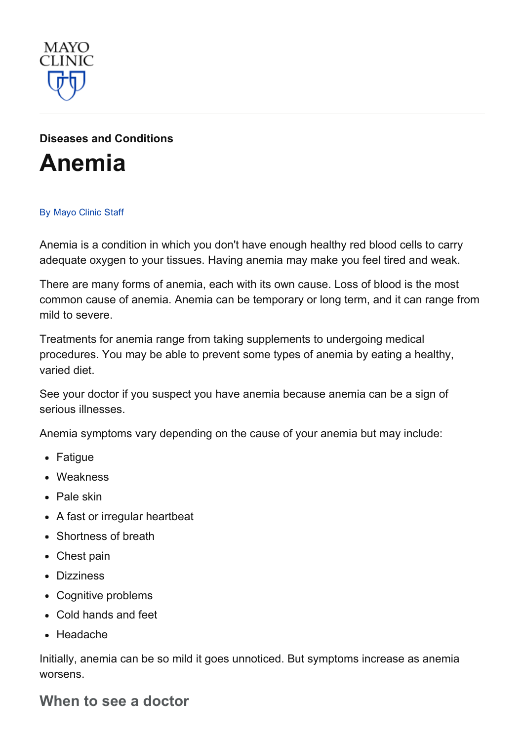

# Diseases and [Conditions](http://www.mayoclinic.org/diseases-conditions)

# [Anemia](http://www.mayoclinic.org/diseases-conditions/anemia/basics/definition/con-20026209)

#### By [Mayo](http://www.mayoclinic.org/about-this-site/welcome) Clinic Staff

Anemia is a condition in which you don't have enough healthy red blood cells to carry adequate oxygen to your tissues. Having anemia may make you feel tired and weak.

There are many forms of anemia, each with its own cause. Loss of blood is the most common cause of anemia. Anemia can be temporary or long term, and it can range from mild to severe.

Treatments for anemia range from taking supplements to undergoing medical procedures. You may be able to prevent some types of anemia by eating a healthy, varied diet.

See your doctor if you suspect you have anemia because anemia can be a sign of serious illnesses.

Anemia symptoms vary depending on the cause of your anemia but may include:

- Fatigue
- Weakness
- Pale skin
- A fast or irregular heartbeat
- Shortness of breath
- Chest pain
- Dizziness
- Cognitive problems
- Cold hands and feet
- Headache

Initially, anemia can be so mild it goes unnoticed. But symptoms increase as anemia worsens.

#### When to see a doctor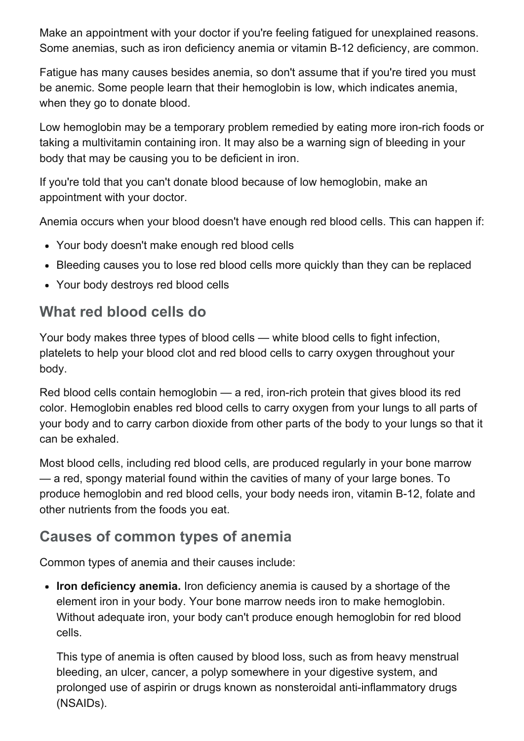Make an appointment with your doctor if you're feeling fatigued for unexplained reasons. Some anemias, such as iron deficiency anemia or vitamin B-12 deficiency, are common.

Fatigue has many causes besides anemia, so don't assume that if you're tired you must be anemic. Some people learn that their hemoglobin is low, which indicates anemia, when they go to donate blood.

Low hemoglobin may be a temporary problem remedied by eating more iron-rich foods or taking a multivitamin containing iron. It may also be a warning sign of bleeding in your body that may be causing you to be deficient in iron.

If you're told that you can't donate blood because of low hemoglobin, make an appointment with your doctor.

Anemia occurs when your blood doesn't have enough red blood cells. This can happen if:

- Your body doesn't make enough red blood cells
- Bleeding causes you to lose red blood cells more quickly than they can be replaced
- Your body destroys red blood cells

### What red blood cells do

Your body makes three types of blood cells — white blood cells to fight infection, platelets to help your blood clot and red blood cells to carry oxygen throughout your body.

Red blood cells contain hemoglobin  $-$  a red, iron-rich protein that gives blood its red color. Hemoglobin enables red blood cells to carry oxygen from your lungs to all parts of your body and to carry carbon dioxide from other parts of the body to your lungs so that it can be exhaled.

Most blood cells, including red blood cells, are produced regularly in your bone marrow — a red, spongy material found within the cavities of many of your large bones. To produce hemoglobin and red blood cells, your body needs iron, vitamin B-12, folate and other nutrients from the foods you eat.

### Causes of common types of anemia

Common types of anemia and their causes include:

• Iron deficiency anemia. Iron deficiency anemia is caused by a shortage of the element iron in your body. Your bone marrow needs iron to make hemoglobin. Without adequate iron, your body can't produce enough hemoglobin for red blood cells.

This type of anemia is often caused by blood loss, such as from heavy menstrual bleeding, an ulcer, cancer, a polyp somewhere in your digestive system, and prolonged use of aspirin or drugs known as nonsteroidal anti-inflammatory drugs (NSAIDs).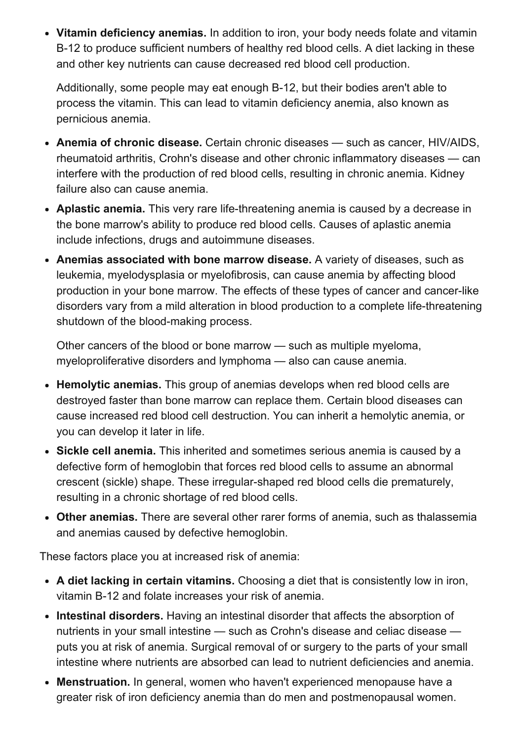• Vitamin deficiency anemias. In addition to iron, your body needs folate and vitamin B-12 to produce sufficient numbers of healthy red blood cells. A diet lacking in these and other key nutrients can cause decreased red blood cell production.

Additionally, some people may eat enough B-12, but their bodies aren't able to process the vitamin. This can lead to vitamin deficiency anemia, also known as pernicious anemia.

- Anemia of chronic disease. Certain chronic diseases such as cancer, HIV/AIDS, rheumatoid arthritis, Crohn's disease and other chronic inflammatory diseases — can interfere with the production of red blood cells, resulting in chronic anemia. Kidney failure also can cause anemia.
- Aplastic anemia. This very rare life-threatening anemia is caused by a decrease in the bone marrow's ability to produce red blood cells. Causes of aplastic anemia include infections, drugs and autoimmune diseases.
- Anemias associated with bone marrow disease. A variety of diseases, such as leukemia, myelodysplasia or myelofibrosis, can cause anemia by affecting blood production in your bone marrow. The effects of these types of cancer and cancer-like disorders vary from a mild alteration in blood production to a complete life-threatening shutdown of the blood-making process.

Other cancers of the blood or bone marrow — such as multiple myeloma, myeloproliferative disorders and lymphoma — also can cause anemia.

- Hemolytic anemias. This group of anemias develops when red blood cells are destroyed faster than bone marrow can replace them. Certain blood diseases can cause increased red blood cell destruction. You can inherit a hemolytic anemia, or you can develop it later in life.
- Sickle cell anemia. This inherited and sometimes serious anemia is caused by a defective form of hemoglobin that forces red blood cells to assume an abnormal crescent (sickle) shape. These irregular-shaped red blood cells die prematurely, resulting in a chronic shortage of red blood cells.
- Other anemias. There are several other rarer forms of anemia, such as thalassemia and anemias caused by defective hemoglobin.

These factors place you at increased risk of anemia:

- A diet lacking in certain vitamins. Choosing a diet that is consistently low in iron, vitamin B-12 and folate increases your risk of anemia.
- Intestinal disorders. Having an intestinal disorder that affects the absorption of nutrients in your small intestine — such as Crohn's disease and celiac disease puts you at risk of anemia. Surgical removal of or surgery to the parts of your small intestine where nutrients are absorbed can lead to nutrient deficiencies and anemia.
- Menstruation. In general, women who haven't experienced menopause have a greater risk of iron deficiency anemia than do men and postmenopausal women.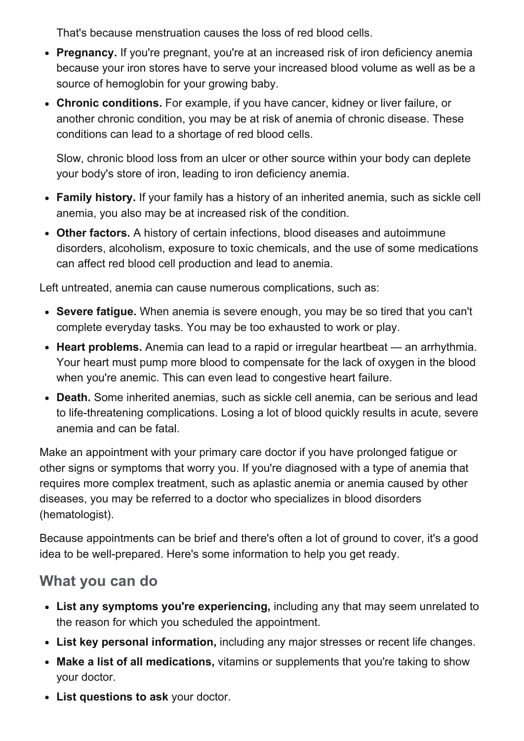That's because menstruation causes the loss of red blood cells.

- Pregnancy. If you're pregnant, you're at an increased risk of iron deficiency anemia because your iron stores have to serve your increased blood volume as well as be a source of hemoglobin for your growing baby.
- Chronic conditions. For example, if you have cancer, kidney or liver failure, or another chronic condition, you may be at risk of anemia of chronic disease. These conditions can lead to a shortage of red blood cells.

Slow, chronic blood loss from an ulcer or other source within your body can deplete your body's store of iron, leading to iron deficiency anemia.

- Family history. If your family has a history of an inherited anemia, such as sickle cell anemia, you also may be at increased risk of the condition.
- Other factors. A history of certain infections, blood diseases and autoimmune disorders, alcoholism, exposure to toxic chemicals, and the use of some medications can affect red blood cell production and lead to anemia.

Left untreated, anemia can cause numerous complications, such as:

- Severe fatigue. When anemia is severe enough, you may be so tired that you can't complete everyday tasks. You may be too exhausted to work or play.
- Heart problems. Anemia can lead to a rapid or irregular heartbeat an arrhythmia. Your heart must pump more blood to compensate for the lack of oxygen in the blood when you're anemic. This can even lead to congestive heart failure.
- Death. Some inherited anemias, such as sickle cell anemia, can be serious and lead to life-threatening complications. Losing a lot of blood quickly results in acute, severe anemia and can be fatal.

Make an appointment with your primary care doctor if you have prolonged fatigue or other signs or symptoms that worry you. If you're diagnosed with a type of anemia that requires more complex treatment, such as aplastic anemia or anemia caused by other diseases, you may be referred to a doctor who specializes in blood disorders (hematologist).

Because appointments can be brief and there's often a lot of ground to cover, it's a good idea to be well-prepared. Here's some information to help you get ready.

### What you can do

- List any symptoms you're experiencing, including any that may seem unrelated to the reason for which you scheduled the appointment.
- List key personal information, including any major stresses or recent life changes.
- Make a list of all medications, vitamins or supplements that you're taking to show your doctor.
- List questions to ask your doctor.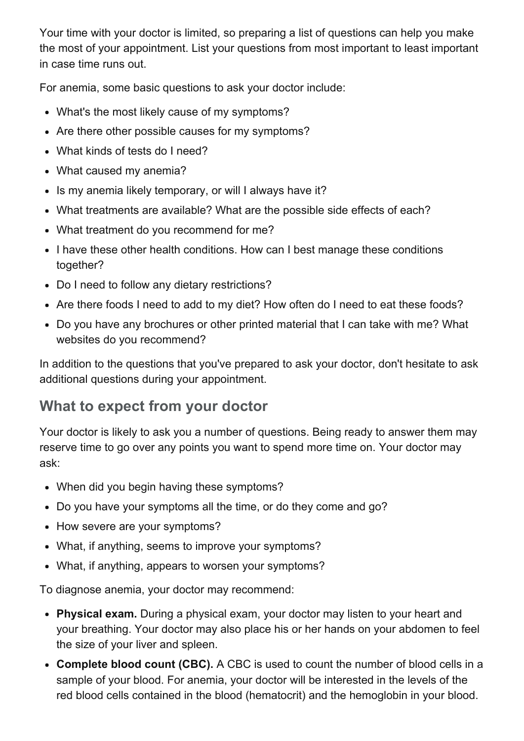Your time with your doctor is limited, so preparing a list of questions can help you make the most of your appointment. List your questions from most important to least important in case time runs out.

For anemia, some basic questions to ask your doctor include:

- What's the most likely cause of my symptoms?
- Are there other possible causes for my symptoms?
- What kinds of tests do I need?
- What caused my anemia?
- Is my anemia likely temporary, or will I always have it?
- What treatments are available? What are the possible side effects of each?
- What treatment do you recommend for me?
- I have these other health conditions. How can I best manage these conditions together?
- Do I need to follow any dietary restrictions?
- Are there foods I need to add to my diet? How often do I need to eat these foods?
- Do you have any brochures or other printed material that I can take with me? What websites do you recommend?

In addition to the questions that you've prepared to ask your doctor, don't hesitate to ask additional questions during your appointment.

## What to expect from your doctor

Your doctor is likely to ask you a number of questions. Being ready to answer them may reserve time to go over any points you want to spend more time on. Your doctor may ask:

- When did you begin having these symptoms?
- Do you have your symptoms all the time, or do they come and go?
- How severe are your symptoms?
- What, if anything, seems to improve your symptoms?
- What, if anything, appears to worsen your symptoms?

To diagnose anemia, your doctor may recommend:

- Physical exam. During a physical exam, your doctor may listen to your heart and your breathing. Your doctor may also place his or her hands on your abdomen to feel the size of your liver and spleen.
- Complete blood count (CBC). A CBC is used to count the number of blood cells in a sample of your blood. For anemia, your doctor will be interested in the levels of the red blood cells contained in the blood (hematocrit) and the hemoglobin in your blood.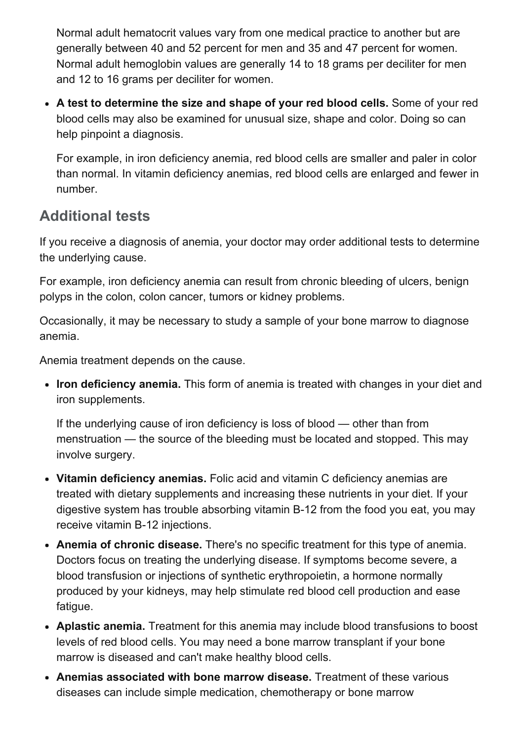Normal adult hematocrit values vary from one medical practice to another but are generally between 40 and 52 percent for men and 35 and 47 percent for women. Normal adult hemoglobin values are generally 14 to 18 grams per deciliter for men and 12 to 16 grams per deciliter for women.

A test to determine the size and shape of your red blood cells. Some of your red blood cells may also be examined for unusual size, shape and color. Doing so can help pinpoint a diagnosis.

For example, in iron deficiency anemia, red blood cells are smaller and paler in color than normal. In vitamin deficiency anemias, red blood cells are enlarged and fewer in number.

#### Additional tests

If you receive a diagnosis of anemia, your doctor may order additional tests to determine the underlying cause.

For example, iron deficiency anemia can result from chronic bleeding of ulcers, benign polyps in the colon, colon cancer, tumors or kidney problems.

Occasionally, it may be necessary to study a sample of your bone marrow to diagnose anemia.

Anemia treatment depends on the cause.

• Iron deficiency anemia. This form of anemia is treated with changes in your diet and iron supplements.

If the underlying cause of iron deficiency is loss of blood — other than from menstruation — the source of the bleeding must be located and stopped. This may involve surgery.

- Vitamin deficiency anemias. Folic acid and vitamin C deficiency anemias are treated with dietary supplements and increasing these nutrients in your diet. If your digestive system has trouble absorbing vitamin B-12 from the food you eat, you may receive vitamin B-12 injections.
- Anemia of chronic disease. There's no specific treatment for this type of anemia. Doctors focus on treating the underlying disease. If symptoms become severe, a blood transfusion or injections of synthetic erythropoietin, a hormone normally produced by your kidneys, may help stimulate red blood cell production and ease fatigue.
- Aplastic anemia. Treatment for this anemia may include blood transfusions to boost levels of red blood cells. You may need a bone marrow transplant if your bone marrow is diseased and can't make healthy blood cells.
- Anemias associated with bone marrow disease. Treatment of these various diseases can include simple medication, chemotherapy or bone marrow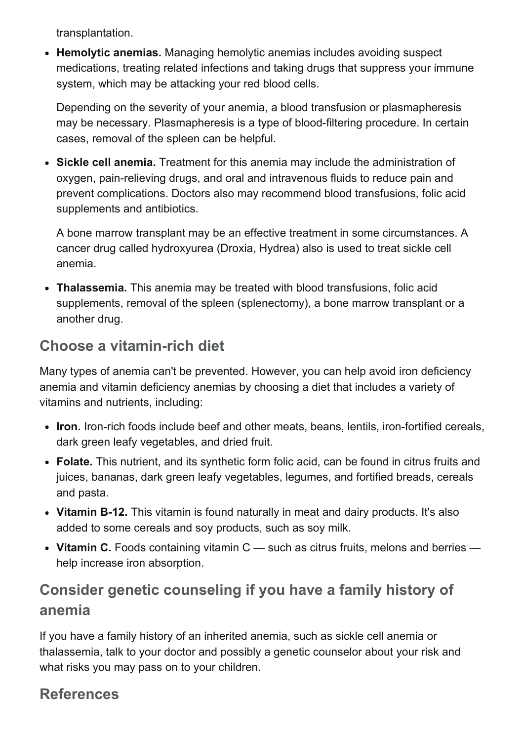transplantation.

• Hemolytic anemias. Managing hemolytic anemias includes avoiding suspect medications, treating related infections and taking drugs that suppress your immune system, which may be attacking your red blood cells.

Depending on the severity of your anemia, a blood transfusion or plasmapheresis may be necessary. Plasmapheresis is a type of blood-filtering procedure. In certain cases, removal of the spleen can be helpful.

Sickle cell anemia. Treatment for this anemia may include the administration of oxygen, pain-relieving drugs, and oral and intravenous fluids to reduce pain and prevent complications. Doctors also may recommend blood transfusions, folic acid supplements and antibiotics.

A bone marrow transplant may be an effective treatment in some circumstances. A cancer drug called hydroxyurea (Droxia, Hydrea) also is used to treat sickle cell anemia.

• Thalassemia. This anemia may be treated with blood transfusions, folic acid supplements, removal of the spleen (splenectomy), a bone marrow transplant or a another drug.

### Choose a vitamin-rich diet

Many types of anemia can't be prevented. However, you can help avoid iron deficiency anemia and vitamin deficiency anemias by choosing a diet that includes a variety of vitamins and nutrients, including:

- Iron. Iron-rich foods include beef and other meats, beans, lentils, iron-fortified cereals, dark green leafy vegetables, and dried fruit.
- Folate. This nutrient, and its synthetic form folic acid, can be found in citrus fruits and juices, bananas, dark green leafy vegetables, legumes, and fortified breads, cereals and pasta.
- Vitamin B-12. This vitamin is found naturally in meat and dairy products. It's also added to some cereals and soy products, such as soy milk.
- Vitamin C. Foods containing vitamin C such as citrus fruits, melons and berries help increase iron absorption.

## Consider genetic counseling if you have a family history of anemia

If you have a family history of an inherited anemia, such as sickle cell anemia or thalassemia, talk to your doctor and possibly a genetic counselor about your risk and what risks you may pass on to your children.

### References